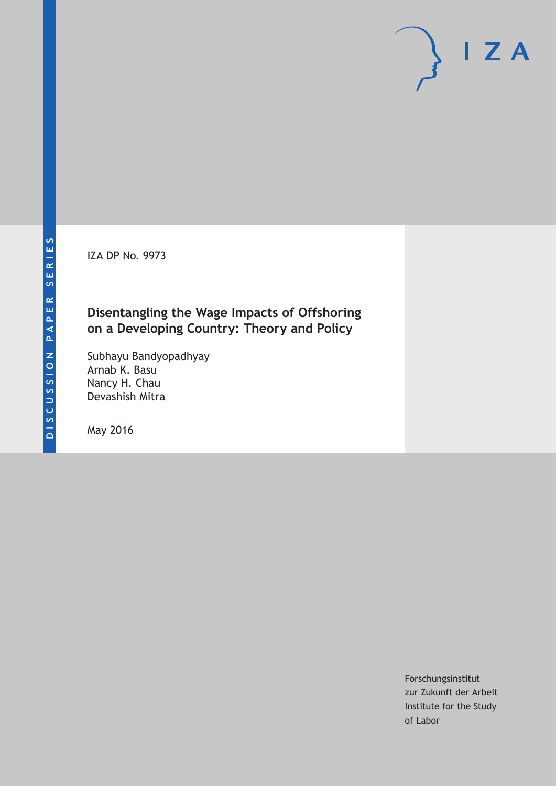IZA DP No. 9973

## **Disentangling the Wage Impacts of Offshoring on a Developing Country: Theory and Policy**

Subhayu Bandyopadhyay Arnab K. Basu Nancy H. Chau Devashish Mitra

May 2016

Forschungsinstitut zur Zukunft der Arbeit Institute for the Study of Labor

 $I Z A$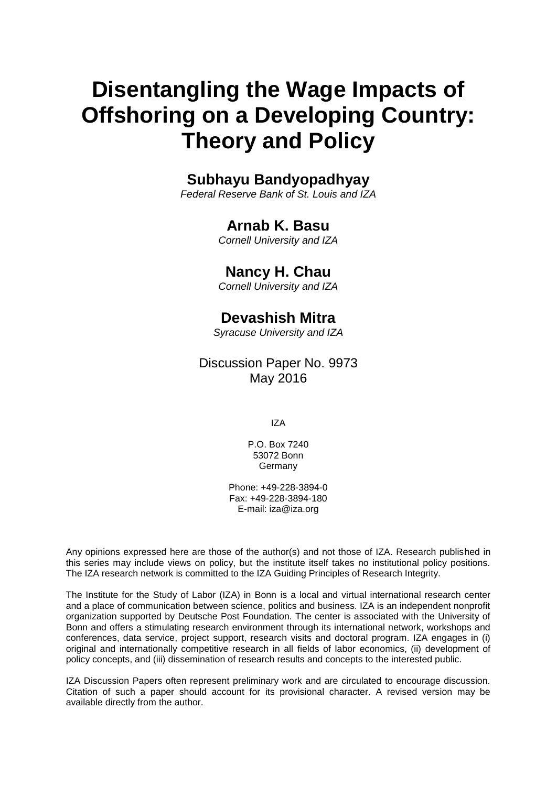# **Disentangling the Wage Impacts of Offshoring on a Developing Country: Theory and Policy**

#### **Subhayu Bandyopadhyay**

*Federal Reserve Bank of St. Louis and IZA*

## **Arnab K. Basu**

*Cornell University and IZA*

## **Nancy H. Chau**

*Cornell University and IZA*

#### **Devashish Mitra**

*Syracuse University and IZA*

Discussion Paper No. 9973 May 2016

IZA

P.O. Box 7240 53072 Bonn Germany

Phone: +49-228-3894-0 Fax: +49-228-3894-180 E-mail: iza@iza.org

Any opinions expressed here are those of the author(s) and not those of IZA. Research published in this series may include views on policy, but the institute itself takes no institutional policy positions. The IZA research network is committed to the IZA Guiding Principles of Research Integrity.

The Institute for the Study of Labor (IZA) in Bonn is a local and virtual international research center and a place of communication between science, politics and business. IZA is an independent nonprofit organization supported by Deutsche Post Foundation. The center is associated with the University of Bonn and offers a stimulating research environment through its international network, workshops and conferences, data service, project support, research visits and doctoral program. IZA engages in (i) original and internationally competitive research in all fields of labor economics, (ii) development of policy concepts, and (iii) dissemination of research results and concepts to the interested public.

IZA Discussion Papers often represent preliminary work and are circulated to encourage discussion. Citation of such a paper should account for its provisional character. A revised version may be available directly from the author.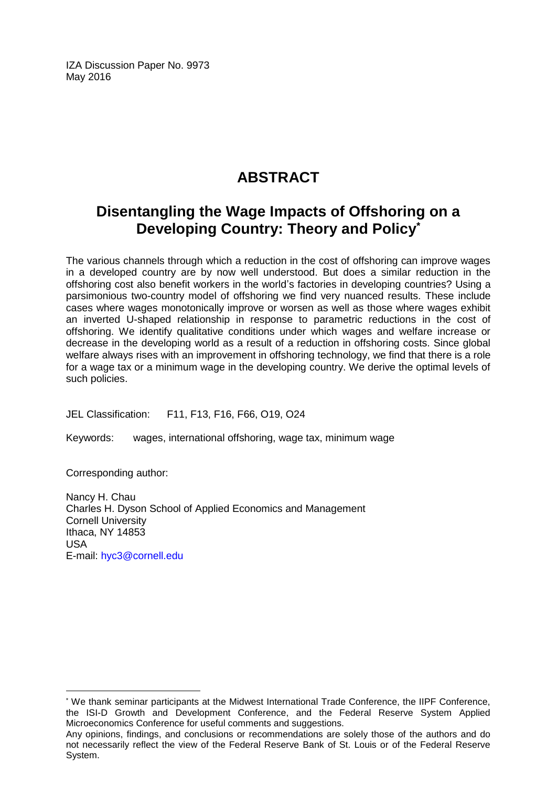IZA Discussion Paper No. 9973 May 2016

# **ABSTRACT**

## **Disentangling the Wage Impacts of Offshoring on a Developing Country: Theory and Policy\***

The various channels through which a reduction in the cost of offshoring can improve wages in a developed country are by now well understood. But does a similar reduction in the offshoring cost also benefit workers in the world's factories in developing countries? Using a parsimonious two-country model of offshoring we find very nuanced results. These include cases where wages monotonically improve or worsen as well as those where wages exhibit an inverted U-shaped relationship in response to parametric reductions in the cost of offshoring. We identify qualitative conditions under which wages and welfare increase or decrease in the developing world as a result of a reduction in offshoring costs. Since global welfare always rises with an improvement in offshoring technology, we find that there is a role for a wage tax or a minimum wage in the developing country. We derive the optimal levels of such policies.

JEL Classification: F11, F13, F16, F66, O19, O24

Keywords: wages, international offshoring, wage tax, minimum wage

Corresponding author:

 $\overline{a}$ 

Nancy H. Chau Charles H. Dyson School of Applied Economics and Management Cornell University Ithaca, NY 14853 USA E-mail: [hyc3@cornell.edu](mailto:hyc3@cornell.edu)

<sup>\*</sup> We thank seminar participants at the Midwest International Trade Conference, the IIPF Conference, the ISI-D Growth and Development Conference, and the Federal Reserve System Applied Microeconomics Conference for useful comments and suggestions.

Any opinions, findings, and conclusions or recommendations are solely those of the authors and do not necessarily reflect the view of the Federal Reserve Bank of St. Louis or of the Federal Reserve System.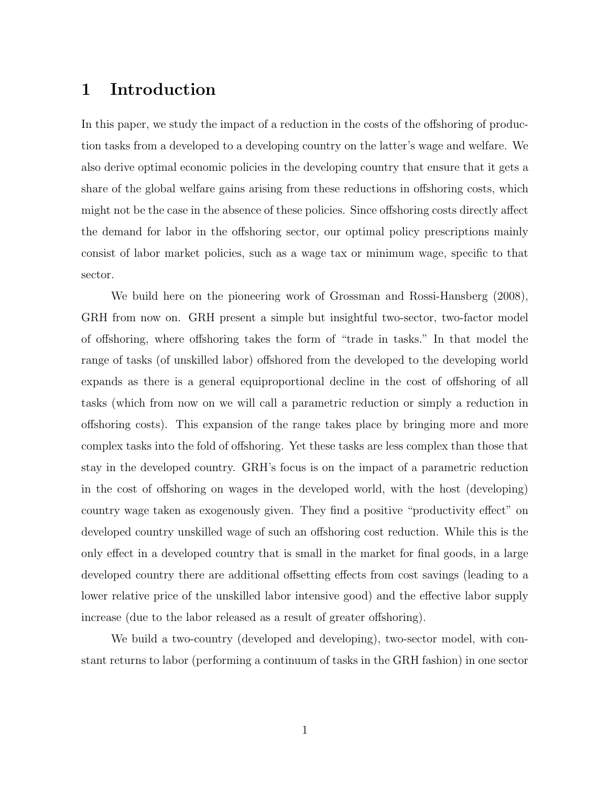#### 1 Introduction

In this paper, we study the impact of a reduction in the costs of the offshoring of production tasks from a developed to a developing country on the latter's wage and welfare. We also derive optimal economic policies in the developing country that ensure that it gets a share of the global welfare gains arising from these reductions in offshoring costs, which might not be the case in the absence of these policies. Since offshoring costs directly affect the demand for labor in the offshoring sector, our optimal policy prescriptions mainly consist of labor market policies, such as a wage tax or minimum wage, specific to that sector.

We build here on the pioneering work of Grossman and Rossi-Hansberg (2008), GRH from now on. GRH present a simple but insightful two-sector, two-factor model of offshoring, where offshoring takes the form of "trade in tasks." In that model the range of tasks (of unskilled labor) offshored from the developed to the developing world expands as there is a general equiproportional decline in the cost of offshoring of all tasks (which from now on we will call a parametric reduction or simply a reduction in offshoring costs). This expansion of the range takes place by bringing more and more complex tasks into the fold of offshoring. Yet these tasks are less complex than those that stay in the developed country. GRH's focus is on the impact of a parametric reduction in the cost of offshoring on wages in the developed world, with the host (developing) country wage taken as exogenously given. They find a positive "productivity effect" on developed country unskilled wage of such an offshoring cost reduction. While this is the only effect in a developed country that is small in the market for final goods, in a large developed country there are additional offsetting effects from cost savings (leading to a lower relative price of the unskilled labor intensive good) and the effective labor supply increase (due to the labor released as a result of greater offshoring).

We build a two-country (developed and developing), two-sector model, with constant returns to labor (performing a continuum of tasks in the GRH fashion) in one sector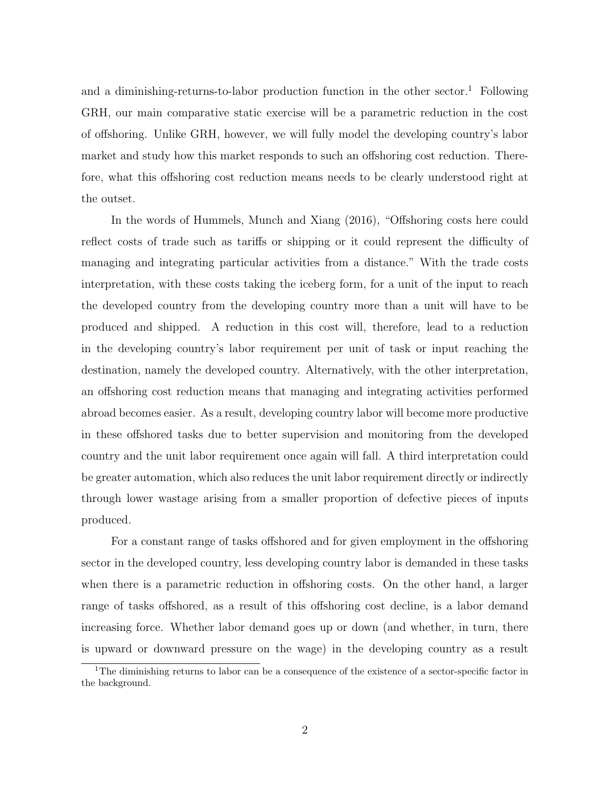and a diminishing-returns-to-labor production function in the other sector.<sup>1</sup> Following GRH, our main comparative static exercise will be a parametric reduction in the cost of offshoring. Unlike GRH, however, we will fully model the developing country's labor market and study how this market responds to such an offshoring cost reduction. Therefore, what this offshoring cost reduction means needs to be clearly understood right at the outset.

In the words of Hummels, Munch and Xiang (2016), "Offshoring costs here could reflect costs of trade such as tariffs or shipping or it could represent the difficulty of managing and integrating particular activities from a distance." With the trade costs interpretation, with these costs taking the iceberg form, for a unit of the input to reach the developed country from the developing country more than a unit will have to be produced and shipped. A reduction in this cost will, therefore, lead to a reduction in the developing country's labor requirement per unit of task or input reaching the destination, namely the developed country. Alternatively, with the other interpretation, an offshoring cost reduction means that managing and integrating activities performed abroad becomes easier. As a result, developing country labor will become more productive in these offshored tasks due to better supervision and monitoring from the developed country and the unit labor requirement once again will fall. A third interpretation could be greater automation, which also reduces the unit labor requirement directly or indirectly through lower wastage arising from a smaller proportion of defective pieces of inputs produced.

For a constant range of tasks offshored and for given employment in the offshoring sector in the developed country, less developing country labor is demanded in these tasks when there is a parametric reduction in offshoring costs. On the other hand, a larger range of tasks offshored, as a result of this offshoring cost decline, is a labor demand increasing force. Whether labor demand goes up or down (and whether, in turn, there is upward or downward pressure on the wage) in the developing country as a result

<sup>&</sup>lt;sup>1</sup>The diminishing returns to labor can be a consequence of the existence of a sector-specific factor in the background.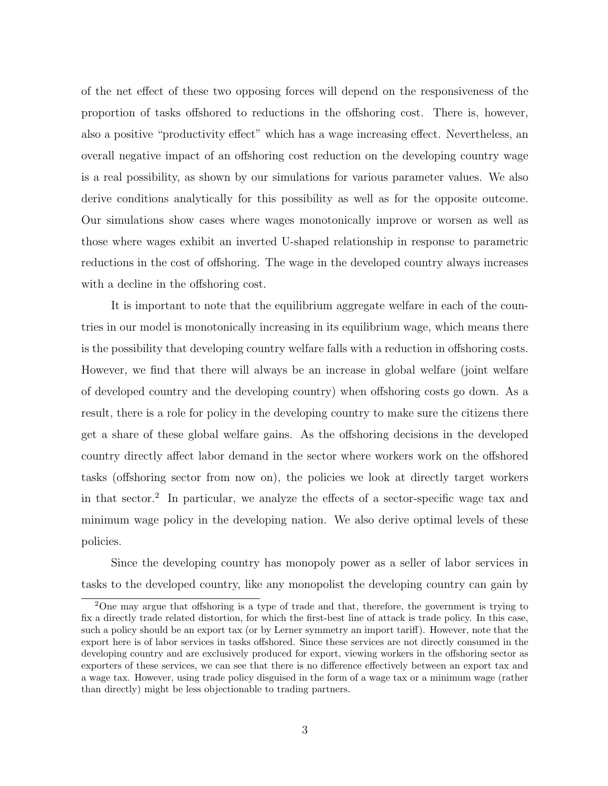of the net effect of these two opposing forces will depend on the responsiveness of the proportion of tasks offshored to reductions in the offshoring cost. There is, however, also a positive "productivity effect" which has a wage increasing effect. Nevertheless, an overall negative impact of an offshoring cost reduction on the developing country wage is a real possibility, as shown by our simulations for various parameter values. We also derive conditions analytically for this possibility as well as for the opposite outcome. Our simulations show cases where wages monotonically improve or worsen as well as those where wages exhibit an inverted U-shaped relationship in response to parametric reductions in the cost of offshoring. The wage in the developed country always increases with a decline in the offshoring cost.

It is important to note that the equilibrium aggregate welfare in each of the countries in our model is monotonically increasing in its equilibrium wage, which means there is the possibility that developing country welfare falls with a reduction in offshoring costs. However, we find that there will always be an increase in global welfare (joint welfare of developed country and the developing country) when offshoring costs go down. As a result, there is a role for policy in the developing country to make sure the citizens there get a share of these global welfare gains. As the offshoring decisions in the developed country directly affect labor demand in the sector where workers work on the offshored tasks (offshoring sector from now on), the policies we look at directly target workers in that sector.<sup>2</sup> In particular, we analyze the effects of a sector-specific wage tax and minimum wage policy in the developing nation. We also derive optimal levels of these policies.

Since the developing country has monopoly power as a seller of labor services in tasks to the developed country, like any monopolist the developing country can gain by

<sup>2</sup>One may argue that offshoring is a type of trade and that, therefore, the government is trying to fix a directly trade related distortion, for which the first-best line of attack is trade policy. In this case, such a policy should be an export tax (or by Lerner symmetry an import tariff). However, note that the export here is of labor services in tasks offshored. Since these services are not directly consumed in the developing country and are exclusively produced for export, viewing workers in the offshoring sector as exporters of these services, we can see that there is no difference effectively between an export tax and a wage tax. However, using trade policy disguised in the form of a wage tax or a minimum wage (rather than directly) might be less objectionable to trading partners.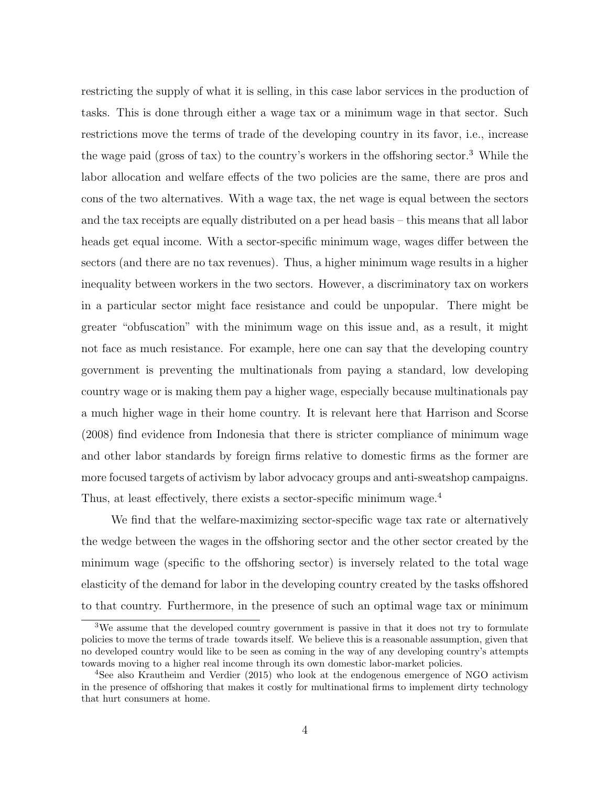restricting the supply of what it is selling, in this case labor services in the production of tasks. This is done through either a wage tax or a minimum wage in that sector. Such restrictions move the terms of trade of the developing country in its favor, i.e., increase the wage paid (gross of tax) to the country's workers in the offshoring sector.<sup>3</sup> While the labor allocation and welfare effects of the two policies are the same, there are pros and cons of the two alternatives. With a wage tax, the net wage is equal between the sectors and the tax receipts are equally distributed on a per head basis – this means that all labor heads get equal income. With a sector-specific minimum wage, wages differ between the sectors (and there are no tax revenues). Thus, a higher minimum wage results in a higher inequality between workers in the two sectors. However, a discriminatory tax on workers in a particular sector might face resistance and could be unpopular. There might be greater "obfuscation" with the minimum wage on this issue and, as a result, it might not face as much resistance. For example, here one can say that the developing country government is preventing the multinationals from paying a standard, low developing country wage or is making them pay a higher wage, especially because multinationals pay a much higher wage in their home country. It is relevant here that Harrison and Scorse (2008) find evidence from Indonesia that there is stricter compliance of minimum wage and other labor standards by foreign firms relative to domestic firms as the former are more focused targets of activism by labor advocacy groups and anti-sweatshop campaigns. Thus, at least effectively, there exists a sector-specific minimum wage.<sup>4</sup>

We find that the welfare-maximizing sector-specific wage tax rate or alternatively the wedge between the wages in the offshoring sector and the other sector created by the minimum wage (specific to the offshoring sector) is inversely related to the total wage elasticity of the demand for labor in the developing country created by the tasks offshored to that country. Furthermore, in the presence of such an optimal wage tax or minimum

<sup>&</sup>lt;sup>3</sup>We assume that the developed country government is passive in that it does not try to formulate policies to move the terms of trade towards itself. We believe this is a reasonable assumption, given that no developed country would like to be seen as coming in the way of any developing country's attempts towards moving to a higher real income through its own domestic labor-market policies.

<sup>4</sup>See also Krautheim and Verdier (2015) who look at the endogenous emergence of NGO activism in the presence of offshoring that makes it costly for multinational firms to implement dirty technology that hurt consumers at home.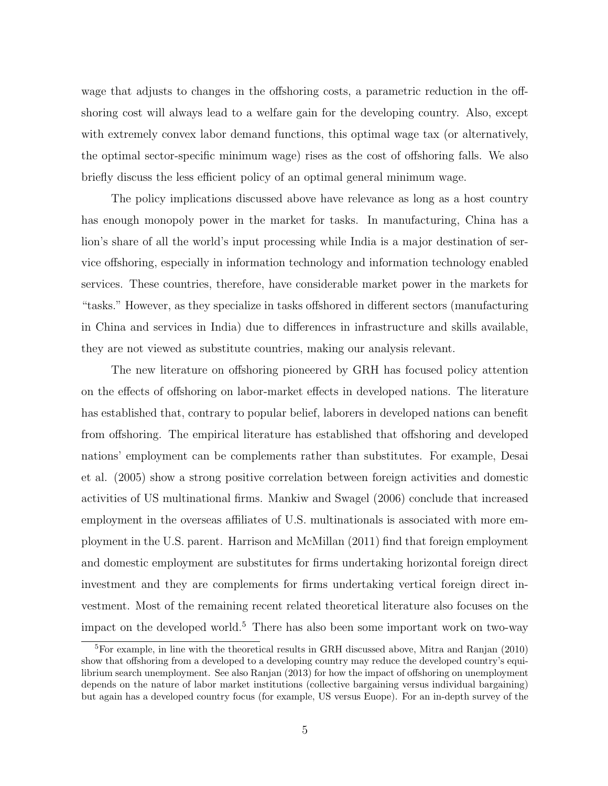wage that adjusts to changes in the offshoring costs, a parametric reduction in the offshoring cost will always lead to a welfare gain for the developing country. Also, except with extremely convex labor demand functions, this optimal wage tax (or alternatively, the optimal sector-specific minimum wage) rises as the cost of offshoring falls. We also briefly discuss the less efficient policy of an optimal general minimum wage.

The policy implications discussed above have relevance as long as a host country has enough monopoly power in the market for tasks. In manufacturing, China has a lion's share of all the world's input processing while India is a major destination of service offshoring, especially in information technology and information technology enabled services. These countries, therefore, have considerable market power in the markets for "tasks." However, as they specialize in tasks offshored in different sectors (manufacturing in China and services in India) due to differences in infrastructure and skills available, they are not viewed as substitute countries, making our analysis relevant.

The new literature on offshoring pioneered by GRH has focused policy attention on the effects of offshoring on labor-market effects in developed nations. The literature has established that, contrary to popular belief, laborers in developed nations can benefit from offshoring. The empirical literature has established that offshoring and developed nations' employment can be complements rather than substitutes. For example, Desai et al. (2005) show a strong positive correlation between foreign activities and domestic activities of US multinational firms. Mankiw and Swagel (2006) conclude that increased employment in the overseas affiliates of U.S. multinationals is associated with more employment in the U.S. parent. Harrison and McMillan (2011) find that foreign employment and domestic employment are substitutes for firms undertaking horizontal foreign direct investment and they are complements for firms undertaking vertical foreign direct investment. Most of the remaining recent related theoretical literature also focuses on the impact on the developed world.<sup>5</sup> There has also been some important work on two-way

<sup>5</sup>For example, in line with the theoretical results in GRH discussed above, Mitra and Ranjan (2010) show that offshoring from a developed to a developing country may reduce the developed country's equilibrium search unemployment. See also Ranjan (2013) for how the impact of offshoring on unemployment depends on the nature of labor market institutions (collective bargaining versus individual bargaining) but again has a developed country focus (for example, US versus Euope). For an in-depth survey of the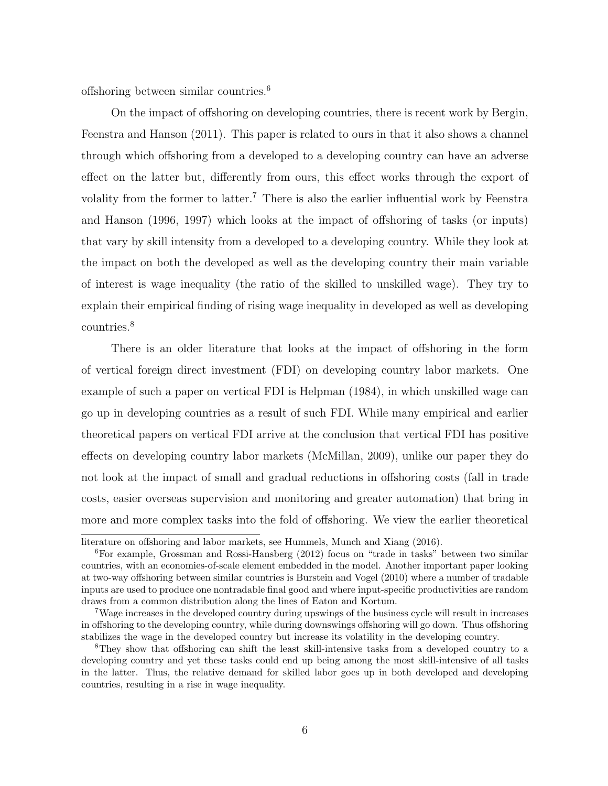offshoring between similar countries.<sup>6</sup>

On the impact of offshoring on developing countries, there is recent work by Bergin, Feenstra and Hanson (2011). This paper is related to ours in that it also shows a channel through which offshoring from a developed to a developing country can have an adverse effect on the latter but, differently from ours, this effect works through the export of volality from the former to latter.<sup>7</sup> There is also the earlier influential work by Feenstra and Hanson (1996, 1997) which looks at the impact of offshoring of tasks (or inputs) that vary by skill intensity from a developed to a developing country. While they look at the impact on both the developed as well as the developing country their main variable of interest is wage inequality (the ratio of the skilled to unskilled wage). They try to explain their empirical finding of rising wage inequality in developed as well as developing countries.<sup>8</sup>

There is an older literature that looks at the impact of offshoring in the form of vertical foreign direct investment (FDI) on developing country labor markets. One example of such a paper on vertical FDI is Helpman (1984), in which unskilled wage can go up in developing countries as a result of such FDI. While many empirical and earlier theoretical papers on vertical FDI arrive at the conclusion that vertical FDI has positive effects on developing country labor markets (McMillan, 2009), unlike our paper they do not look at the impact of small and gradual reductions in offshoring costs (fall in trade costs, easier overseas supervision and monitoring and greater automation) that bring in more and more complex tasks into the fold of offshoring. We view the earlier theoretical

literature on offshoring and labor markets, see Hummels, Munch and Xiang (2016).

 ${}^{6}$ For example, Grossman and Rossi-Hansberg (2012) focus on "trade in tasks" between two similar countries, with an economies-of-scale element embedded in the model. Another important paper looking at two-way offshoring between similar countries is Burstein and Vogel (2010) where a number of tradable inputs are used to produce one nontradable final good and where input-specific productivities are random draws from a common distribution along the lines of Eaton and Kortum.

<sup>7</sup>Wage increases in the developed country during upswings of the business cycle will result in increases in offshoring to the developing country, while during downswings offshoring will go down. Thus offshoring stabilizes the wage in the developed country but increase its volatility in the developing country.

<sup>&</sup>lt;sup>8</sup>They show that offshoring can shift the least skill-intensive tasks from a developed country to a developing country and yet these tasks could end up being among the most skill-intensive of all tasks in the latter. Thus, the relative demand for skilled labor goes up in both developed and developing countries, resulting in a rise in wage inequality.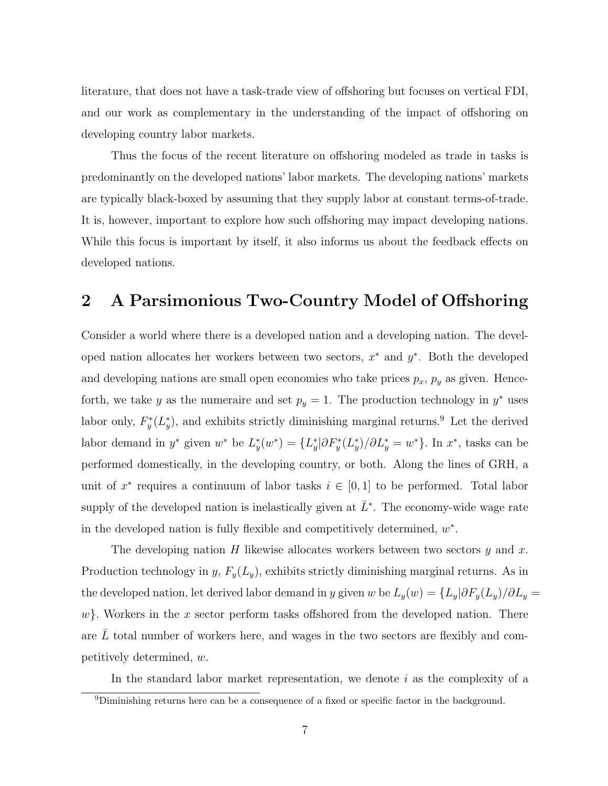literature, that does not have a task-trade view of offshoring but focuses on vertical FDI, and our work as complementary in the understanding of the impact of offshoring on developing country labor markets.

Thus the focus of the recent literature on offshoring modeled as trade in tasks is predominantly on the developed nations' labor markets. The developing nations' markets are typically black-boxed by assuming that they supply labor at constant terms-of-trade. It is, however, important to explore how such offshoring may impact developing nations. While this focus is important by itself, it also informs us about the feedback effects on developed nations.

#### 2 A Parsimonious Two-Country Model of Offshoring

Consider a world where there is a developed nation and a developing nation. The developed nation allocates her workers between two sectors,  $x^*$  and  $y^*$ . Both the developed and developing nations are small open economies who take prices  $p_x$ ,  $p_y$  as given. Henceforth, we take y as the numeraire and set  $p_y = 1$ . The production technology in  $y^*$  uses labor only,  $F_y^*(L_y^*)$ , and exhibits strictly diminishing marginal returns.<sup>9</sup> Let the derived labor demand in y<sup>\*</sup> given  $w^*$  be  $L_y^*(w^*) = \{L_y^*|\partial F_y^*(L_y^*)/\partial L_y^* = w^*\}$ . In  $x^*$ , tasks can be performed domestically, in the developing country, or both. Along the lines of GRH, a unit of  $x^*$  requires a continuum of labor tasks  $i \in [0,1]$  to be performed. Total labor supply of the developed nation is inelastically given at  $\overline{L}^*$ . The economy-wide wage rate in the developed nation is fully flexible and competitively determined,  $w^*$ .

The developing nation  $H$  likewise allocates workers between two sectors  $y$  and  $x$ . Production technology in y,  $F_y(L_y)$ , exhibits strictly diminishing marginal returns. As in the developed nation, let derived labor demand in y given w be  $L_y(w) = \{L_y|\partial F_y(L_y)/\partial L_y =$  $w$ . Workers in the x sector perform tasks offshored from the developed nation. There are  $\overline{L}$  total number of workers here, and wages in the two sectors are flexibly and competitively determined, w.

In the standard labor market representation, we denote  $i$  as the complexity of a

<sup>&</sup>lt;sup>9</sup>Diminishing returns here can be a consequence of a fixed or specific factor in the background.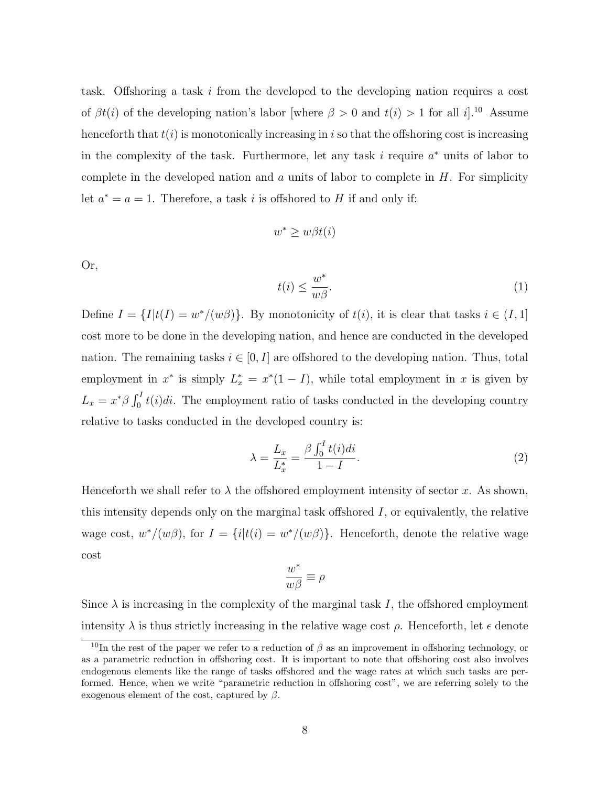task. Offshoring a task i from the developed to the developing nation requires a cost of  $\beta t(i)$  of the developing nation's labor [where  $\beta > 0$  and  $t(i) > 1$  for all i].<sup>10</sup> Assume henceforth that  $t(i)$  is monotonically increasing in i so that the offshoring cost is increasing in the complexity of the task. Furthermore, let any task  $i$  require  $a^*$  units of labor to complete in the developed nation and  $a$  units of labor to complete in  $H$ . For simplicity let  $a^* = a = 1$ . Therefore, a task i is offshored to H if and only if:

$$
w^* \ge w\beta t(i)
$$

Or,

$$
t(i) \le \frac{w^*}{w\beta}.\tag{1}
$$

Define  $I = \{I | t(I) = w^* / (w\beta) \}$ . By monotonicity of  $t(i)$ , it is clear that tasks  $i \in (I, 1]$ cost more to be done in the developing nation, and hence are conducted in the developed nation. The remaining tasks  $i \in [0, I]$  are offshored to the developing nation. Thus, total employment in  $x^*$  is simply  $L_x^* = x^*(1 - I)$ , while total employment in x is given by  $L_x = x^* \beta \int_0^I t(i)di$ . The employment ratio of tasks conducted in the developing country relative to tasks conducted in the developed country is:

$$
\lambda = \frac{L_x}{L_x^*} = \frac{\beta \int_0^I t(i)di}{1 - I}.
$$
\n(2)

Henceforth we shall refer to  $\lambda$  the offshored employment intensity of sector x. As shown, this intensity depends only on the marginal task offshored  $I$ , or equivalently, the relative wage cost,  $w^*/(w\beta)$ , for  $I = \{i | t(i) = w^*/(w\beta)\}\.$  Henceforth, denote the relative wage cost

$$
\frac{w^*}{w\beta}\equiv \rho
$$

Since  $\lambda$  is increasing in the complexity of the marginal task I, the offshored employment intensity  $\lambda$  is thus strictly increasing in the relative wage cost  $\rho$ . Henceforth, let  $\epsilon$  denote

<sup>&</sup>lt;sup>10</sup>In the rest of the paper we refer to a reduction of  $\beta$  as an improvement in offshoring technology, or as a parametric reduction in offshoring cost. It is important to note that offshoring cost also involves endogenous elements like the range of tasks offshored and the wage rates at which such tasks are performed. Hence, when we write "parametric reduction in offshoring cost", we are referring solely to the exogenous element of the cost, captured by  $\beta$ .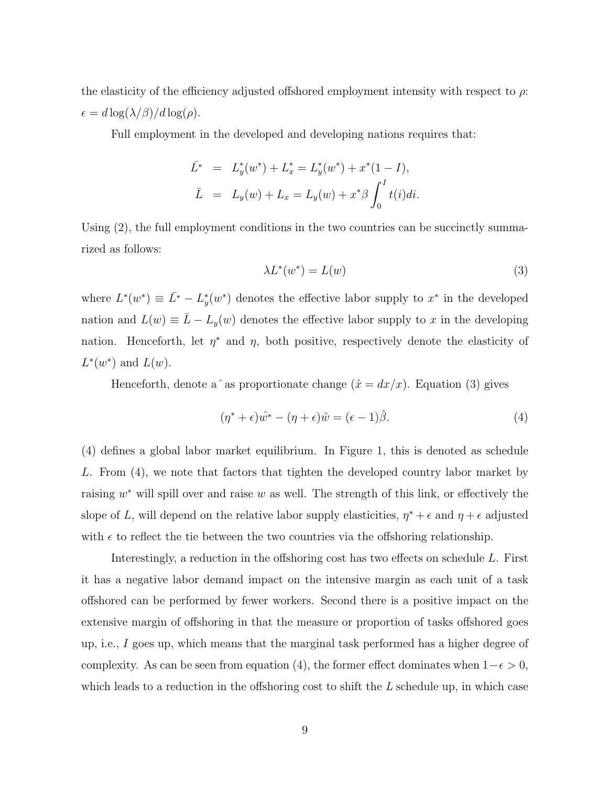the elasticity of the efficiency adjusted offshored employment intensity with respect to  $\rho$ :  $\epsilon = d \log(\lambda/\beta)/d \log(\rho).$ 

Full employment in the developed and developing nations requires that:

$$
\bar{L}^* = L_y^*(w^*) + L_x^* = L_y^*(w^*) + x^*(1 - I),
$$
  

$$
\bar{L} = L_y(w) + L_x = L_y(w) + x^*\beta \int_0^I t(i)di.
$$

Using  $(2)$ , the full employment conditions in the two countries can be succinctly summarized as follows:

$$
\lambda L^*(w^*) = L(w) \tag{3}
$$

where  $L^*(w^*) \equiv \overline{L^*} - L_y^*(w^*)$  denotes the effective labor supply to  $x^*$  in the developed nation and  $L(w) \equiv \overline{L} - L_y(w)$  denotes the effective labor supply to x in the developing nation. Henceforth, let  $\eta^*$  and  $\eta$ , both positive, respectively denote the elasticity of  $L^*(w^*)$  and  $L(w)$ .

Henceforth, denote a  $\hat{a}$  as proportionate change  $(\hat{x} = dx/x)$ . Equation (3) gives

$$
(\eta^* + \epsilon)\hat{w^*} - (\eta + \epsilon)\hat{w} = (\epsilon - 1)\hat{\beta}.
$$
\n(4)

(4) defines a global labor market equilibrium. In Figure 1, this is denoted as schedule L. From (4), we note that factors that tighten the developed country labor market by raising  $w^*$  will spill over and raise w as well. The strength of this link, or effectively the slope of L, will depend on the relative labor supply elasticities,  $\eta^* + \epsilon$  and  $\eta + \epsilon$  adjusted with  $\epsilon$  to reflect the tie between the two countries via the offshoring relationship.

Interestingly, a reduction in the offshoring cost has two effects on schedule  $L$ . First it has a negative labor demand impact on the intensive margin as each unit of a task offshored can be performed by fewer workers. Second there is a positive impact on the extensive margin of offshoring in that the measure or proportion of tasks offshored goes up, i.e., I goes up, which means that the marginal task performed has a higher degree of complexity. As can be seen from equation (4), the former effect dominates when  $1-\epsilon > 0$ , which leads to a reduction in the offshoring cost to shift the  $L$  schedule up, in which case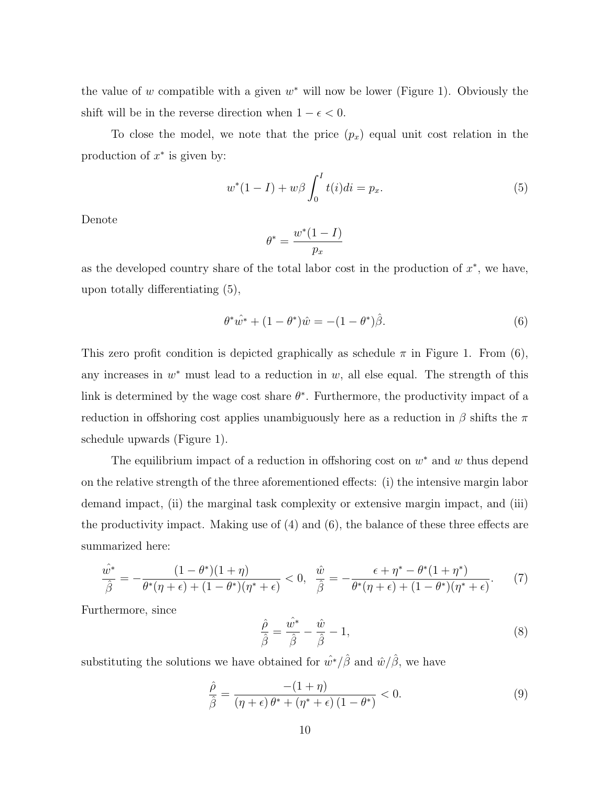the value of w compatible with a given  $w^*$  will now be lower (Figure 1). Obviously the shift will be in the reverse direction when  $1 - \epsilon < 0$ .

To close the model, we note that the price  $(p_x)$  equal unit cost relation in the production of  $x^*$  is given by:

$$
w^*(1 - I) + w\beta \int_0^I t(i)di = p_x.
$$
 (5)

Denote

$$
\theta^* = \frac{w^*(1-I)}{p_x}
$$

as the developed country share of the total labor cost in the production of  $x^*$ , we have, upon totally differentiating (5),

$$
\theta^* \hat{w^*} + (1 - \theta^*) \hat{w} = -(1 - \theta^*) \hat{\beta}.
$$
 (6)

This zero profit condition is depicted graphically as schedule  $\pi$  in Figure 1. From (6), any increases in  $w^*$  must lead to a reduction in  $w$ , all else equal. The strength of this link is determined by the wage cost share  $\theta^*$ . Furthermore, the productivity impact of a reduction in offshoring cost applies unambiguously here as a reduction in  $\beta$  shifts the  $\pi$ schedule upwards (Figure 1).

The equilibrium impact of a reduction in offshoring cost on  $w^*$  and w thus depend on the relative strength of the three aforementioned effects: (i) the intensive margin labor demand impact, (ii) the marginal task complexity or extensive margin impact, and (iii) the productivity impact. Making use of  $(4)$  and  $(6)$ , the balance of these three effects are summarized here:

$$
\frac{\hat{w}^*}{\hat{\beta}} = -\frac{(1-\theta^*)(1+\eta)}{\theta^*(\eta+\epsilon)+(1-\theta^*)(\eta^*+\epsilon)} < 0, \quad \frac{\hat{w}}{\hat{\beta}} = -\frac{\epsilon+\eta^*-\theta^*(1+\eta^*)}{\theta^*(\eta+\epsilon)+(1-\theta^*)(\eta^*+\epsilon)}.\tag{7}
$$

Furthermore, since

$$
\frac{\hat{\rho}}{\hat{\beta}} = \frac{\hat{w}^*}{\hat{\beta}} - \frac{\hat{w}}{\hat{\beta}} - 1,\tag{8}
$$

substituting the solutions we have obtained for  $\hat{w^*}/\hat{\beta}$  and  $\hat{w}/\hat{\beta}$ , we have

$$
\frac{\hat{\rho}}{\hat{\beta}} = \frac{-(1+\eta)}{(\eta+\epsilon)\theta^* + (\eta^*+\epsilon)(1-\theta^*)} < 0. \tag{9}
$$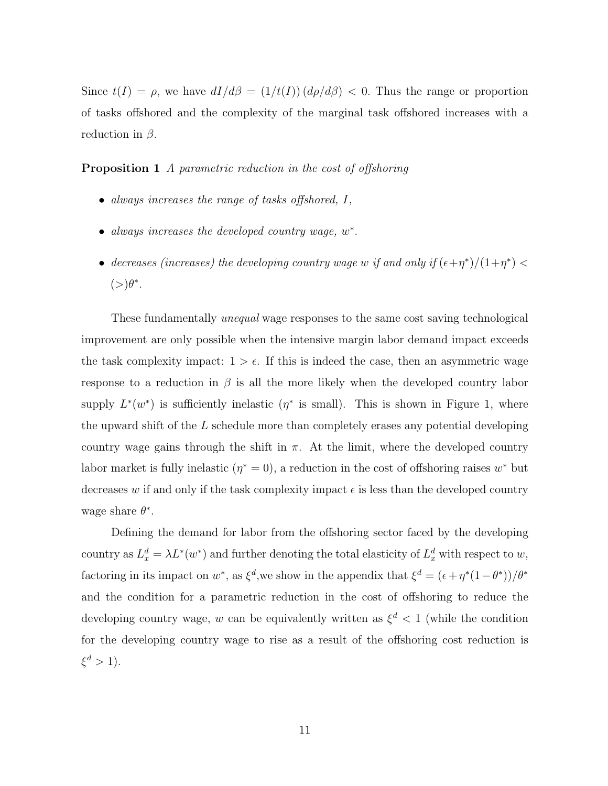Since  $t(I) = \rho$ , we have  $dI/d\beta = (1/t(I))(d\rho/d\beta) < 0$ . Thus the range or proportion of tasks offshored and the complexity of the marginal task offshored increases with a reduction in  $\beta$ .

**Proposition 1** A parametric reduction in the cost of offshoring

- always increases the range of tasks offshored, I,
- always increases the developed country wage, w ∗ .
- decreases (increases) the developing country wage w if and only if  $(\epsilon + \eta^*)/(1+\eta^*)$  $(>)\theta^*$ .

These fundamentally unequal wage responses to the same cost saving technological improvement are only possible when the intensive margin labor demand impact exceeds the task complexity impact:  $1 > \epsilon$ . If this is indeed the case, then an asymmetric wage response to a reduction in  $\beta$  is all the more likely when the developed country labor supply  $L^*(w^*)$  is sufficiently inelastic  $(\eta^*$  is small). This is shown in Figure 1, where the upward shift of the L schedule more than completely erases any potential developing country wage gains through the shift in  $\pi$ . At the limit, where the developed country labor market is fully inelastic  $(\eta^* = 0)$ , a reduction in the cost of offshoring raises  $w^*$  but decreases w if and only if the task complexity impact  $\epsilon$  is less than the developed country wage share  $\theta^*$ .

Defining the demand for labor from the offshoring sector faced by the developing country as  $L_x^d = \lambda L^*(w^*)$  and further denoting the total elasticity of  $L_x^d$  with respect to  $w$ , factoring in its impact on w<sup>\*</sup>, as  $\xi^d$ , we show in the appendix that  $\xi^d = (\epsilon + \eta^*(1-\theta^*))/\theta^*$ and the condition for a parametric reduction in the cost of offshoring to reduce the developing country wage, w can be equivalently written as  $\xi^d < 1$  (while the condition for the developing country wage to rise as a result of the offshoring cost reduction is  $\xi^d > 1$ ).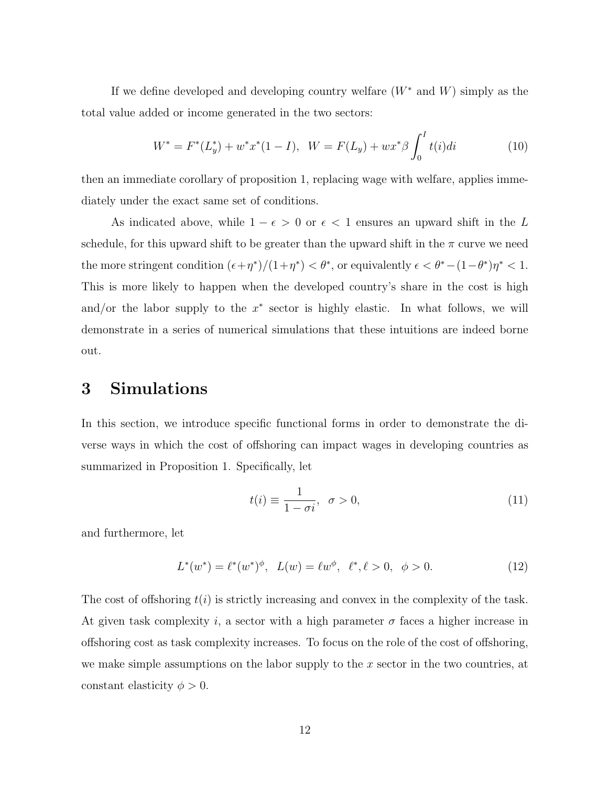If we define developed and developing country welfare  $(W^*$  and W) simply as the total value added or income generated in the two sectors:

$$
W^* = F^*(L_y^*) + w^*x^*(1 - I), \quad W = F(L_y) + wx^*\beta \int_0^I t(i)di \tag{10}
$$

then an immediate corollary of proposition 1, replacing wage with welfare, applies immediately under the exact same set of conditions.

As indicated above, while  $1 - \epsilon > 0$  or  $\epsilon < 1$  ensures an upward shift in the L schedule, for this upward shift to be greater than the upward shift in the  $\pi$  curve we need the more stringent condition  $(\epsilon + \eta^*)/(1 + \eta^*) < \theta^*$ , or equivalently  $\epsilon < \theta^* - (1 - \theta^*)\eta^* < 1$ . This is more likely to happen when the developed country's share in the cost is high and/or the labor supply to the  $x^*$  sector is highly elastic. In what follows, we will demonstrate in a series of numerical simulations that these intuitions are indeed borne out.

#### 3 Simulations

In this section, we introduce specific functional forms in order to demonstrate the diverse ways in which the cost of offshoring can impact wages in developing countries as summarized in Proposition 1. Specifically, let

$$
t(i) \equiv \frac{1}{1 - \sigma i}, \quad \sigma > 0,
$$
\n(11)

and furthermore, let

$$
L^*(w^*) = \ell^*(w^*)^{\phi}, \quad L(w) = \ell w^{\phi}, \quad \ell^*, \ell > 0, \quad \phi > 0.
$$
 (12)

The cost of offshoring  $t(i)$  is strictly increasing and convex in the complexity of the task. At given task complexity i, a sector with a high parameter  $\sigma$  faces a higher increase in offshoring cost as task complexity increases. To focus on the role of the cost of offshoring, we make simple assumptions on the labor supply to the  $x$  sector in the two countries, at constant elasticity  $\phi > 0$ .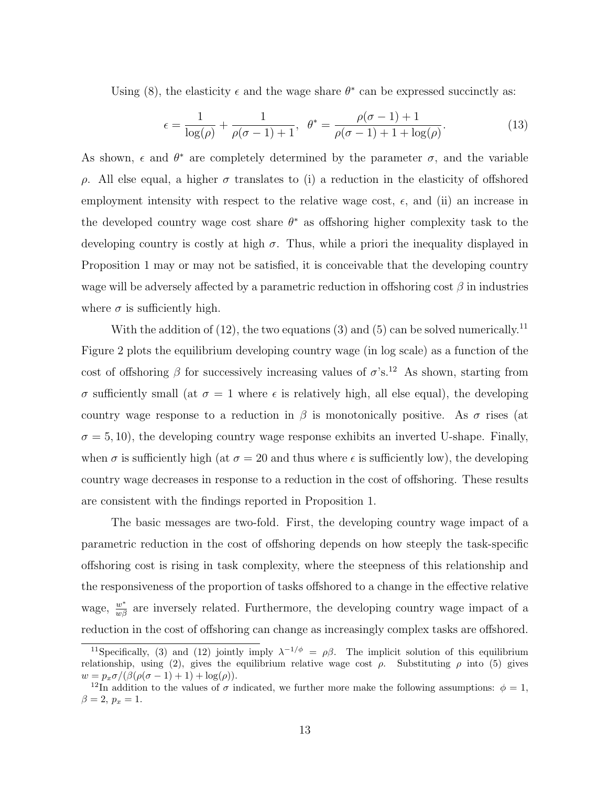Using (8), the elasticity  $\epsilon$  and the wage share  $\theta^*$  can be expressed succinctly as:

$$
\epsilon = \frac{1}{\log(\rho)} + \frac{1}{\rho(\sigma - 1) + 1}, \ \ \theta^* = \frac{\rho(\sigma - 1) + 1}{\rho(\sigma - 1) + 1 + \log(\rho)}.
$$
 (13)

As shown,  $\epsilon$  and  $\theta^*$  are completely determined by the parameter  $\sigma$ , and the variable ρ. All else equal, a higher σ translates to (i) a reduction in the elasticity of offshored employment intensity with respect to the relative wage cost,  $\epsilon$ , and (ii) an increase in the developed country wage cost share  $\theta^*$  as offshoring higher complexity task to the developing country is costly at high  $\sigma$ . Thus, while a priori the inequality displayed in Proposition 1 may or may not be satisfied, it is conceivable that the developing country wage will be adversely affected by a parametric reduction in offshoring cost  $\beta$  in industries where  $\sigma$  is sufficiently high.

With the addition of  $(12)$ , the two equations  $(3)$  and  $(5)$  can be solved numerically.<sup>11</sup> Figure 2 plots the equilibrium developing country wage (in log scale) as a function of the cost of offshoring  $\beta$  for successively increasing values of  $\sigma$ 's.<sup>12</sup> As shown, starting from σ sufficiently small (at  $\sigma = 1$  where  $\epsilon$  is relatively high, all else equal), the developing country wage response to a reduction in  $\beta$  is monotonically positive. As  $\sigma$  rises (at  $\sigma = 5, 10$ , the developing country wage response exhibits an inverted U-shape. Finally, when  $\sigma$  is sufficiently high (at  $\sigma = 20$  and thus where  $\epsilon$  is sufficiently low), the developing country wage decreases in response to a reduction in the cost of offshoring. These results are consistent with the findings reported in Proposition 1.

The basic messages are two-fold. First, the developing country wage impact of a parametric reduction in the cost of offshoring depends on how steeply the task-specific offshoring cost is rising in task complexity, where the steepness of this relationship and the responsiveness of the proportion of tasks offshored to a change in the effective relative wage,  $\frac{w^*}{w\beta}$  are inversely related. Furthermore, the developing country wage impact of a reduction in the cost of offshoring can change as increasingly complex tasks are offshored.

<sup>&</sup>lt;sup>11</sup>Specifically, (3) and (12) jointly imply  $\lambda^{-1/\phi} = \rho \beta$ . The implicit solution of this equilibrium relationship, using (2), gives the equilibrium relative wage cost  $\rho$ . Substituting  $\rho$  into (5) gives  $w = p_x \sigma / (\beta(\rho(\sigma - 1) + 1) + \log(\rho)).$ 

<sup>&</sup>lt;sup>12</sup>In addition to the values of  $\sigma$  indicated, we further more make the following assumptions:  $\phi = 1$ ,  $\beta = 2, p_x = 1.$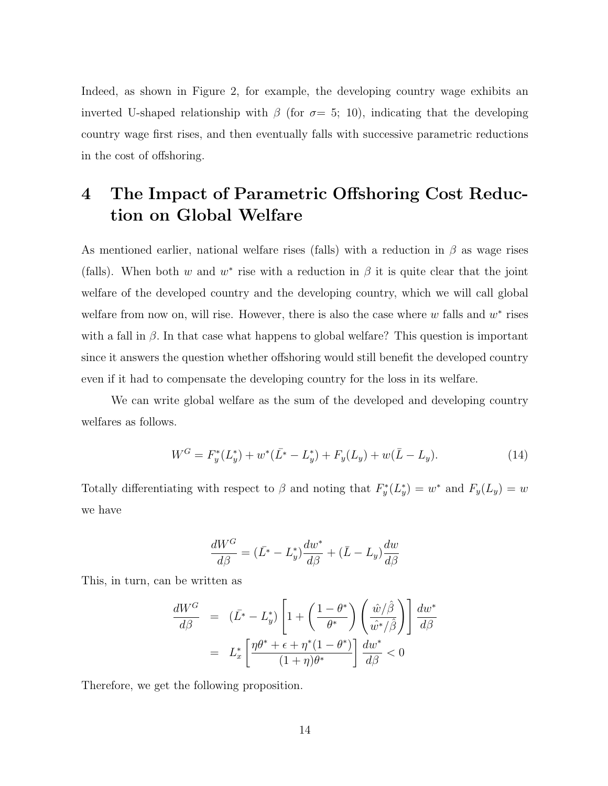Indeed, as shown in Figure 2, for example, the developing country wage exhibits an inverted U-shaped relationship with  $\beta$  (for  $\sigma = 5$ ; 10), indicating that the developing country wage first rises, and then eventually falls with successive parametric reductions in the cost of offshoring.

# 4 The Impact of Parametric Offshoring Cost Reduction on Global Welfare

As mentioned earlier, national welfare rises (falls) with a reduction in  $\beta$  as wage rises (falls). When both w and  $w^*$  rise with a reduction in  $\beta$  it is quite clear that the joint welfare of the developed country and the developing country, which we will call global welfare from now on, will rise. However, there is also the case where  $w$  falls and  $w^*$  rises with a fall in  $\beta$ . In that case what happens to global welfare? This question is important since it answers the question whether offshoring would still benefit the developed country even if it had to compensate the developing country for the loss in its welfare.

We can write global welfare as the sum of the developed and developing country welfares as follows.

$$
W^G = F_y^*(L_y^*) + w^*(\bar{L}^* - L_y^*) + F_y(L_y) + w(\bar{L} - L_y).
$$
 (14)

Totally differentiating with respect to  $\beta$  and noting that  $F_y^*(L_y^*) = w^*$  and  $F_y(L_y) = w$ we have

$$
\frac{dW^G}{d\beta} = (\bar{L^*} - L_y^*)\frac{dw^*}{d\beta} + (\bar{L} - L_y)\frac{dw}{d\beta}
$$

This, in turn, can be written as

$$
\frac{dW^G}{d\beta} = (\bar{L}^* - L_y^*) \left[ 1 + \left( \frac{1 - \theta^*}{\theta^*} \right) \left( \frac{\hat{w}/\hat{\beta}}{\hat{w}^*/\hat{\beta}} \right) \right] \frac{dw^*}{d\beta}
$$
\n
$$
= L_x^* \left[ \frac{\eta \theta^* + \epsilon + \eta^*(1 - \theta^*)}{(1 + \eta)\theta^*} \right] \frac{dw^*}{d\beta} < 0
$$

Therefore, we get the following proposition.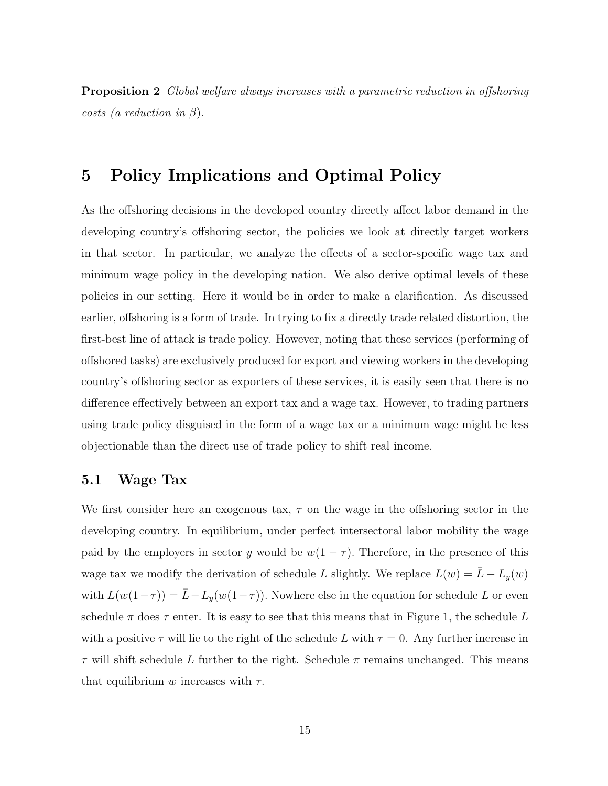**Proposition 2** Global welfare always increases with a parametric reduction in offshoring costs (a reduction in  $\beta$ ).

#### 5 Policy Implications and Optimal Policy

As the offshoring decisions in the developed country directly affect labor demand in the developing country's offshoring sector, the policies we look at directly target workers in that sector. In particular, we analyze the effects of a sector-specific wage tax and minimum wage policy in the developing nation. We also derive optimal levels of these policies in our setting. Here it would be in order to make a clarification. As discussed earlier, offshoring is a form of trade. In trying to fix a directly trade related distortion, the first-best line of attack is trade policy. However, noting that these services (performing of offshored tasks) are exclusively produced for export and viewing workers in the developing country's offshoring sector as exporters of these services, it is easily seen that there is no difference effectively between an export tax and a wage tax. However, to trading partners using trade policy disguised in the form of a wage tax or a minimum wage might be less objectionable than the direct use of trade policy to shift real income.

#### 5.1 Wage Tax

We first consider here an exogenous tax,  $\tau$  on the wage in the offshoring sector in the developing country. In equilibrium, under perfect intersectoral labor mobility the wage paid by the employers in sector y would be  $w(1 - \tau)$ . Therefore, in the presence of this wage tax we modify the derivation of schedule L slightly. We replace  $L(w) = \overline{L} - L_y(w)$ with  $L(w(1-\tau)) = \bar{L} - L_y(w(1-\tau))$ . Nowhere else in the equation for schedule L or even schedule  $\pi$  does  $\tau$  enter. It is easy to see that this means that in Figure 1, the schedule L with a positive  $\tau$  will lie to the right of the schedule L with  $\tau = 0$ . Any further increase in  $\tau$  will shift schedule L further to the right. Schedule  $\pi$  remains unchanged. This means that equilibrium w increases with  $\tau$ .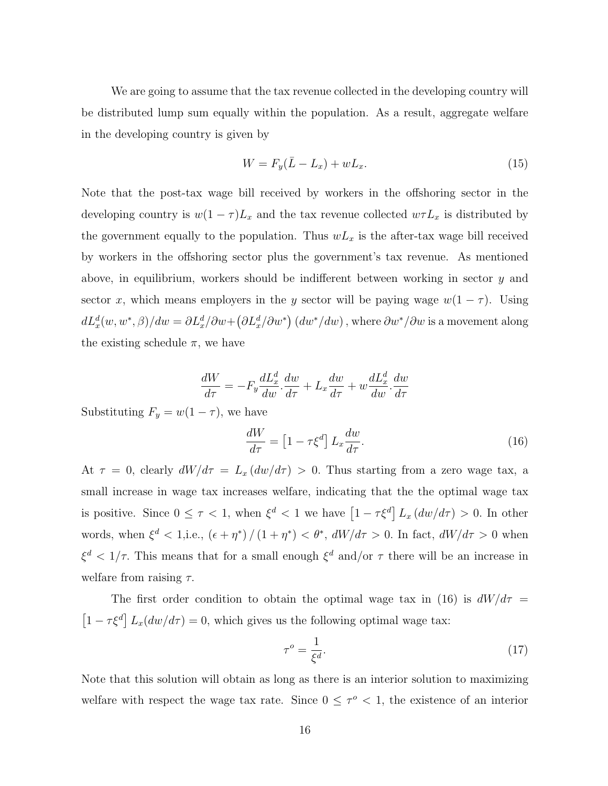We are going to assume that the tax revenue collected in the developing country will be distributed lump sum equally within the population. As a result, aggregate welfare in the developing country is given by

$$
W = F_y(\bar{L} - L_x) + wL_x.
$$
\n<sup>(15)</sup>

Note that the post-tax wage bill received by workers in the offshoring sector in the developing country is  $w(1 - \tau)L_x$  and the tax revenue collected  $w\tau L_x$  is distributed by the government equally to the population. Thus  $wL_x$  is the after-tax wage bill received by workers in the offshoring sector plus the government's tax revenue. As mentioned above, in equilibrium, workers should be indifferent between working in sector  $y$  and sector x, which means employers in the y sector will be paying wage  $w(1 - \tau)$ . Using  $dL_x^d(w,w^*,\beta)/dw=\partial L_x^d/\partial w+(\partial L_x^d/\partial w^*)\ (dw^*/dw)$  , where  $\partial w^*/\partial w$  is a movement along the existing schedule  $\pi$ , we have

$$
\frac{dW}{d\tau} = -F_y \frac{dL_x^d}{dw} \cdot \frac{dw}{d\tau} + L_x \frac{dw}{d\tau} + w \frac{dL_x^d}{dw} \cdot \frac{dw}{d\tau}
$$

Substituting  $F_y = w(1 - \tau)$ , we have

$$
\frac{dW}{d\tau} = \left[1 - \tau \xi^d\right] L_x \frac{dw}{d\tau}.\tag{16}
$$

At  $\tau = 0$ , clearly  $dW/d\tau = L_x (dw/d\tau) > 0$ . Thus starting from a zero wage tax, a small increase in wage tax increases welfare, indicating that the the optimal wage tax is positive. Since  $0 \leq \tau < 1$ , when  $\xi^d < 1$  we have  $\left[1 - \tau \xi^d\right] L_x (dw/d\tau) > 0$ . In other words, when  $\xi^d < 1$ , i.e.,  $(\epsilon + \eta^*)/(1 + \eta^*) < \theta^*$ ,  $dW/d\tau > 0$ . In fact,  $dW/d\tau > 0$  when  $\xi^d$  < 1/ $\tau$ . This means that for a small enough  $\xi^d$  and/or  $\tau$  there will be an increase in welfare from raising  $\tau$ .

The first order condition to obtain the optimal wage tax in (16) is  $dW/d\tau =$  $\left[1 - \tau \xi^d\right] L_x(dw/d\tau) = 0$ , which gives us the following optimal wage tax:

$$
\tau^o = \frac{1}{\xi^d}.\tag{17}
$$

Note that this solution will obtain as long as there is an interior solution to maximizing welfare with respect the wage tax rate. Since  $0 \leq \tau^{\circ} < 1$ , the existence of an interior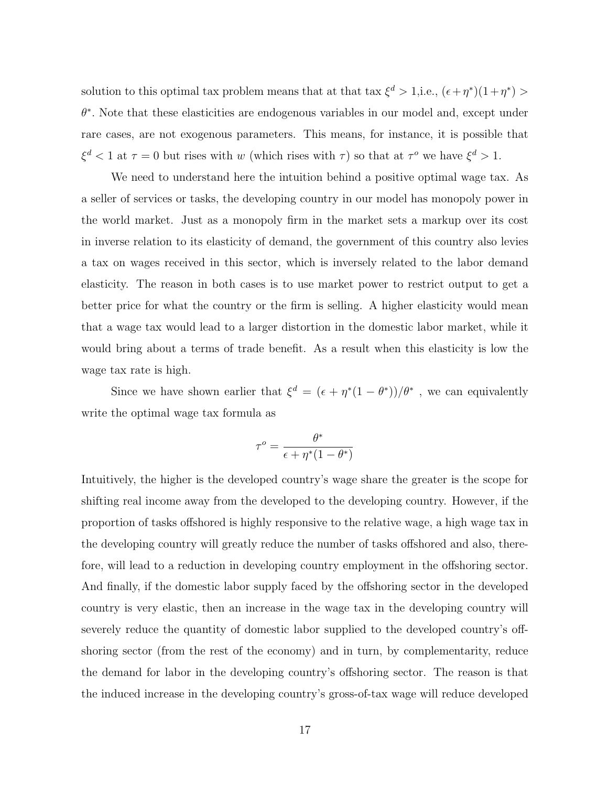solution to this optimal tax problem means that at that tax  $\xi^d > 1$ , i.e.,  $(\epsilon + \eta^*)(1 + \eta^*) >$ θ ∗ . Note that these elasticities are endogenous variables in our model and, except under rare cases, are not exogenous parameters. This means, for instance, it is possible that  $\xi^d$  < 1 at  $\tau = 0$  but rises with w (which rises with  $\tau$ ) so that at  $\tau^o$  we have  $\xi^d > 1$ .

We need to understand here the intuition behind a positive optimal wage tax. As a seller of services or tasks, the developing country in our model has monopoly power in the world market. Just as a monopoly firm in the market sets a markup over its cost in inverse relation to its elasticity of demand, the government of this country also levies a tax on wages received in this sector, which is inversely related to the labor demand elasticity. The reason in both cases is to use market power to restrict output to get a better price for what the country or the firm is selling. A higher elasticity would mean that a wage tax would lead to a larger distortion in the domestic labor market, while it would bring about a terms of trade benefit. As a result when this elasticity is low the wage tax rate is high.

Since we have shown earlier that  $\xi^d = (\epsilon + \eta^*(1 - \theta^*))/\theta^*$ , we can equivalently write the optimal wage tax formula as

$$
\tau^o = \frac{\theta^*}{\epsilon + \eta^*(1-\theta^*)}
$$

Intuitively, the higher is the developed country's wage share the greater is the scope for shifting real income away from the developed to the developing country. However, if the proportion of tasks offshored is highly responsive to the relative wage, a high wage tax in the developing country will greatly reduce the number of tasks offshored and also, therefore, will lead to a reduction in developing country employment in the offshoring sector. And finally, if the domestic labor supply faced by the offshoring sector in the developed country is very elastic, then an increase in the wage tax in the developing country will severely reduce the quantity of domestic labor supplied to the developed country's offshoring sector (from the rest of the economy) and in turn, by complementarity, reduce the demand for labor in the developing country's offshoring sector. The reason is that the induced increase in the developing country's gross-of-tax wage will reduce developed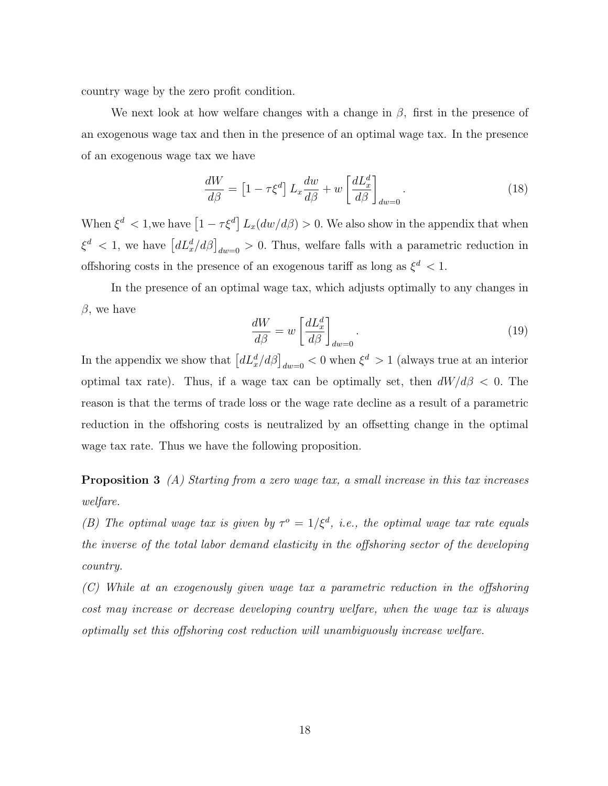country wage by the zero profit condition.

We next look at how welfare changes with a change in  $\beta$ , first in the presence of an exogenous wage tax and then in the presence of an optimal wage tax. In the presence of an exogenous wage tax we have

$$
\frac{dW}{d\beta} = \left[1 - \tau \xi^d\right] L_x \frac{dw}{d\beta} + w \left[\frac{dL_x^d}{d\beta}\right]_{dw=0}.
$$
\n(18)

When  $\xi^d$  < 1, we have  $\left[1 - \tau \xi^d\right] L_x(dw/d\beta) > 0$ . We also show in the appendix that when  $\xi^d$  < 1, we have  $\left[dL_x^d/d\beta\right]_{dw=0} > 0$ . Thus, welfare falls with a parametric reduction in offshoring costs in the presence of an exogenous tariff as long as  $\xi^d$  < 1.

In the presence of an optimal wage tax, which adjusts optimally to any changes in  $\beta$ , we have

$$
\frac{dW}{d\beta} = w \left[ \frac{dL_x^d}{d\beta} \right]_{dw=0}.
$$
\n(19)

In the appendix we show that  $\left[dL_x^d/d\beta\right]_{dw=0} < 0$  when  $\xi^d > 1$  (always true at an interior optimal tax rate). Thus, if a wage tax can be optimally set, then  $dW/d\beta < 0$ . The reason is that the terms of trade loss or the wage rate decline as a result of a parametric reduction in the offshoring costs is neutralized by an offsetting change in the optimal wage tax rate. Thus we have the following proposition.

**Proposition 3** (A) Starting from a zero wage tax, a small increase in this tax increases welfare.

(B) The optimal wage tax is given by  $\tau^o = 1/\xi^d$ , i.e., the optimal wage tax rate equals the inverse of the total labor demand elasticity in the offshoring sector of the developing country.

(C) While at an exogenously given wage tax a parametric reduction in the offshoring cost may increase or decrease developing country welfare, when the wage tax is always optimally set this offshoring cost reduction will unambiguously increase welfare.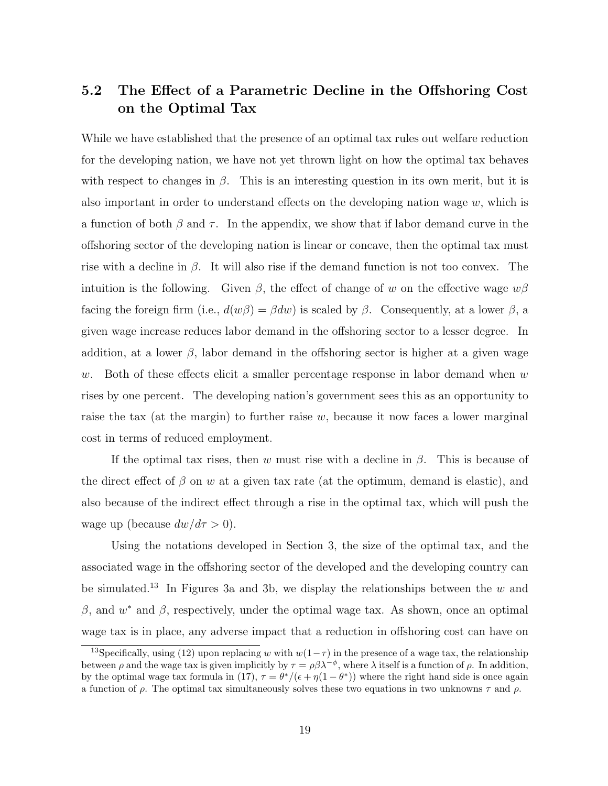#### 5.2 The Effect of a Parametric Decline in the Offshoring Cost on the Optimal Tax

While we have established that the presence of an optimal tax rules out welfare reduction for the developing nation, we have not yet thrown light on how the optimal tax behaves with respect to changes in  $\beta$ . This is an interesting question in its own merit, but it is also important in order to understand effects on the developing nation wage  $w$ , which is a function of both  $\beta$  and  $\tau$ . In the appendix, we show that if labor demand curve in the offshoring sector of the developing nation is linear or concave, then the optimal tax must rise with a decline in  $\beta$ . It will also rise if the demand function is not too convex. The intuition is the following. Given  $\beta$ , the effect of change of w on the effective wage  $w\beta$ facing the foreign firm (i.e.,  $d(w\beta) = \beta dw$ ) is scaled by  $\beta$ . Consequently, at a lower  $\beta$ , a given wage increase reduces labor demand in the offshoring sector to a lesser degree. In addition, at a lower  $\beta$ , labor demand in the offshoring sector is higher at a given wage w. Both of these effects elicit a smaller percentage response in labor demand when  $w$ rises by one percent. The developing nation's government sees this as an opportunity to raise the tax (at the margin) to further raise  $w$ , because it now faces a lower marginal cost in terms of reduced employment.

If the optimal tax rises, then w must rise with a decline in  $\beta$ . This is because of the direct effect of  $\beta$  on w at a given tax rate (at the optimum, demand is elastic), and also because of the indirect effect through a rise in the optimal tax, which will push the wage up (because  $dw/d\tau > 0$ ).

Using the notations developed in Section 3, the size of the optimal tax, and the associated wage in the offshoring sector of the developed and the developing country can be simulated.<sup>13</sup> In Figures 3a and 3b, we display the relationships between the  $w$  and  $β$ , and  $w^*$  and  $β$ , respectively, under the optimal wage tax. As shown, once an optimal wage tax is in place, any adverse impact that a reduction in offshoring cost can have on

<sup>&</sup>lt;sup>13</sup>Specifically, using (12) upon replacing w with  $w(1-\tau)$  in the presence of a wage tax, the relationship between  $\rho$  and the wage tax is given implicitly by  $\tau = \rho \beta \lambda^{-\phi}$ , where  $\lambda$  itself is a function of  $\rho$ . In addition, by the optimal wage tax formula in (17),  $\tau = \theta^*/(\epsilon + \eta(1-\theta^*))$  where the right hand side is once again a function of  $\rho$ . The optimal tax simultaneously solves these two equations in two unknowns  $\tau$  and  $\rho$ .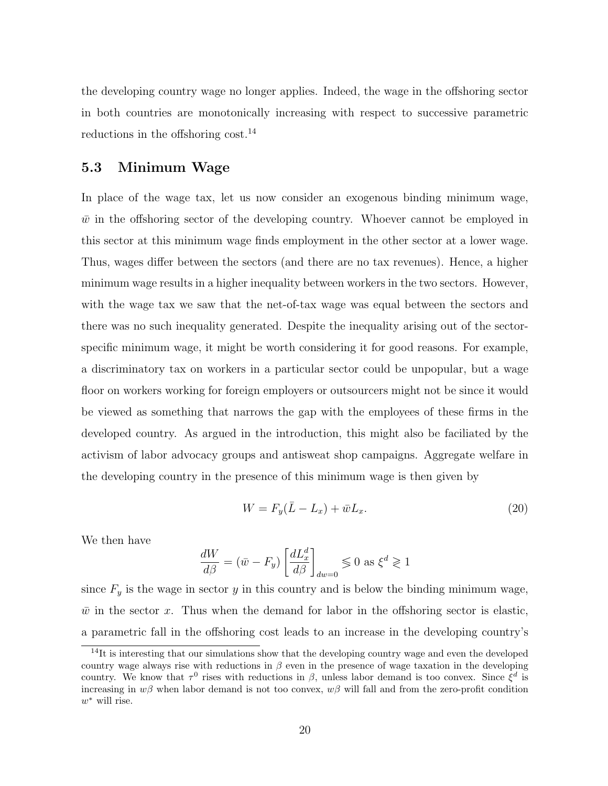the developing country wage no longer applies. Indeed, the wage in the offshoring sector in both countries are monotonically increasing with respect to successive parametric reductions in the offshoring cost.<sup>14</sup>

#### 5.3 Minimum Wage

In place of the wage tax, let us now consider an exogenous binding minimum wage,  $\bar{w}$  in the offshoring sector of the developing country. Whoever cannot be employed in this sector at this minimum wage finds employment in the other sector at a lower wage. Thus, wages differ between the sectors (and there are no tax revenues). Hence, a higher minimum wage results in a higher inequality between workers in the two sectors. However, with the wage tax we saw that the net-of-tax wage was equal between the sectors and there was no such inequality generated. Despite the inequality arising out of the sectorspecific minimum wage, it might be worth considering it for good reasons. For example, a discriminatory tax on workers in a particular sector could be unpopular, but a wage floor on workers working for foreign employers or outsourcers might not be since it would be viewed as something that narrows the gap with the employees of these firms in the developed country. As argued in the introduction, this might also be faciliated by the activism of labor advocacy groups and antisweat shop campaigns. Aggregate welfare in the developing country in the presence of this minimum wage is then given by

$$
W = F_y(\bar{L} - L_x) + \bar{w}L_x.
$$
\n<sup>(20)</sup>

We then have

$$
\frac{dW}{d\beta} = (\bar{w} - F_y) \left[ \frac{dL_x^d}{d\beta} \right]_{dw=0} \lessgtr 0 \text{ as } \xi^d \gtrless 1
$$

since  $F_y$  is the wage in sector y in this country and is below the binding minimum wage,  $\bar{w}$  in the sector x. Thus when the demand for labor in the offshoring sector is elastic, a parametric fall in the offshoring cost leads to an increase in the developing country's

<sup>&</sup>lt;sup>14</sup>It is interesting that our simulations show that the developing country wage and even the developed country wage always rise with reductions in  $\beta$  even in the presence of wage taxation in the developing country. We know that  $\tau^0$  rises with reductions in  $\beta$ , unless labor demand is too convex. Since  $\xi^d$  is increasing in  $w\beta$  when labor demand is not too convex,  $w\beta$  will fall and from the zero-profit condition  $w^*$  will rise.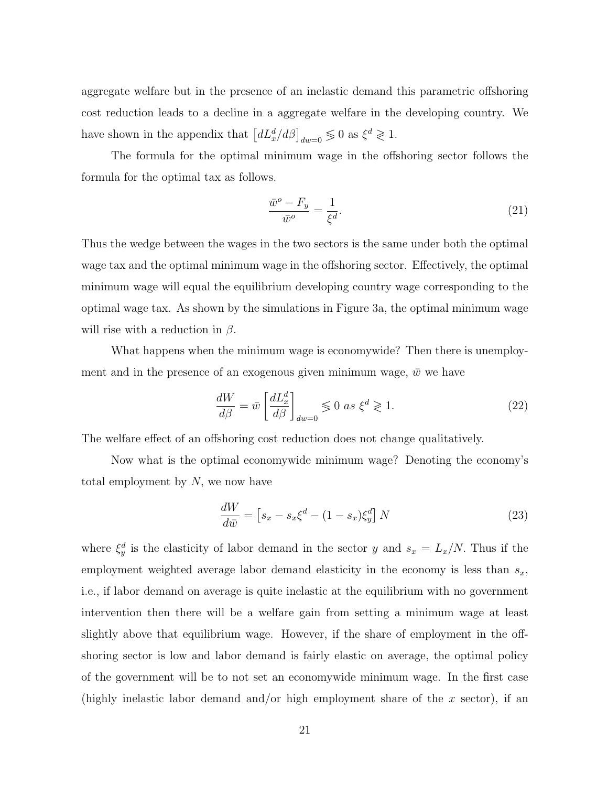aggregate welfare but in the presence of an inelastic demand this parametric offshoring cost reduction leads to a decline in a aggregate welfare in the developing country. We have shown in the appendix that  $\left[dL_x^d/d\beta\right]_{dw=0} \lessgtr 0$  as  $\xi^d \gtrless 1$ .

The formula for the optimal minimum wage in the offshoring sector follows the formula for the optimal tax as follows.

$$
\frac{\bar{w}^o - F_y}{\bar{w}^o} = \frac{1}{\xi^d}.\tag{21}
$$

Thus the wedge between the wages in the two sectors is the same under both the optimal wage tax and the optimal minimum wage in the offshoring sector. Effectively, the optimal minimum wage will equal the equilibrium developing country wage corresponding to the optimal wage tax. As shown by the simulations in Figure 3a, the optimal minimum wage will rise with a reduction in  $\beta$ .

What happens when the minimum wage is economywide? Then there is unemployment and in the presence of an exogenous given minimum wage,  $\bar{w}$  we have

$$
\frac{dW}{d\beta} = \bar{w} \left[ \frac{dL_x^d}{d\beta} \right]_{dw=0} \lessgtr 0 \text{ as } \xi^d \gtrless 1. \tag{22}
$$

The welfare effect of an offshoring cost reduction does not change qualitatively.

Now what is the optimal economywide minimum wage? Denoting the economy's total employment by  $N$ , we now have

$$
\frac{dW}{d\bar{w}} = \left[s_x - s_x \xi^d - (1 - s_x)\xi_y^d\right]N\tag{23}
$$

where  $\xi_y^d$  is the elasticity of labor demand in the sector y and  $s_x = L_x/N$ . Thus if the employment weighted average labor demand elasticity in the economy is less than  $s_x$ , i.e., if labor demand on average is quite inelastic at the equilibrium with no government intervention then there will be a welfare gain from setting a minimum wage at least slightly above that equilibrium wage. However, if the share of employment in the offshoring sector is low and labor demand is fairly elastic on average, the optimal policy of the government will be to not set an economywide minimum wage. In the first case (highly inelastic labor demand and/or high employment share of the x sector), if an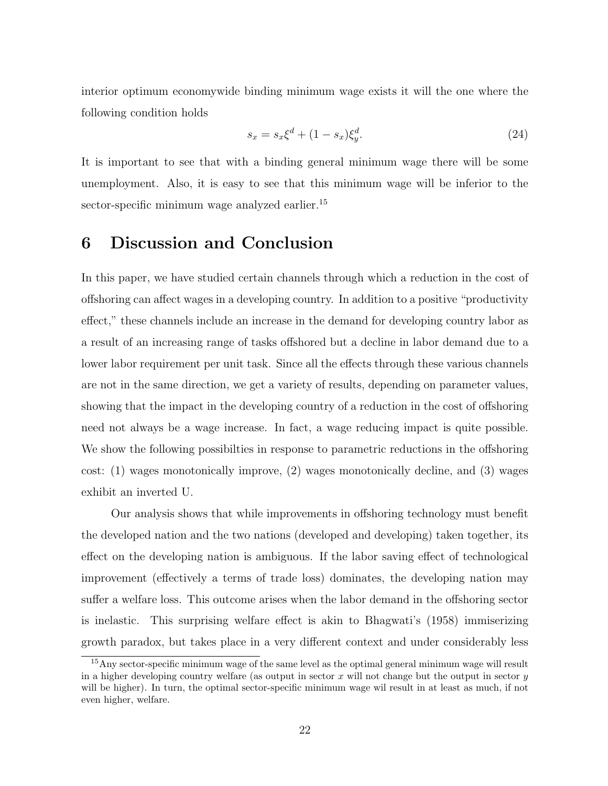interior optimum economywide binding minimum wage exists it will the one where the following condition holds

$$
s_x = s_x \xi^d + (1 - s_x) \xi_y^d. \tag{24}
$$

It is important to see that with a binding general minimum wage there will be some unemployment. Also, it is easy to see that this minimum wage will be inferior to the sector-specific minimum wage analyzed earlier.<sup>15</sup>

### 6 Discussion and Conclusion

In this paper, we have studied certain channels through which a reduction in the cost of offshoring can affect wages in a developing country. In addition to a positive "productivity effect," these channels include an increase in the demand for developing country labor as a result of an increasing range of tasks offshored but a decline in labor demand due to a lower labor requirement per unit task. Since all the effects through these various channels are not in the same direction, we get a variety of results, depending on parameter values, showing that the impact in the developing country of a reduction in the cost of offshoring need not always be a wage increase. In fact, a wage reducing impact is quite possible. We show the following possibilties in response to parametric reductions in the offshoring cost: (1) wages monotonically improve, (2) wages monotonically decline, and (3) wages exhibit an inverted U.

Our analysis shows that while improvements in offshoring technology must benefit the developed nation and the two nations (developed and developing) taken together, its effect on the developing nation is ambiguous. If the labor saving effect of technological improvement (effectively a terms of trade loss) dominates, the developing nation may suffer a welfare loss. This outcome arises when the labor demand in the offshoring sector is inelastic. This surprising welfare effect is akin to Bhagwati's (1958) immiserizing growth paradox, but takes place in a very different context and under considerably less

<sup>&</sup>lt;sup>15</sup>Any sector-specific minimum wage of the same level as the optimal general minimum wage will result in a higher developing country welfare (as output in sector x will not change but the output in sector  $y$ will be higher). In turn, the optimal sector-specific minimum wage wil result in at least as much, if not even higher, welfare.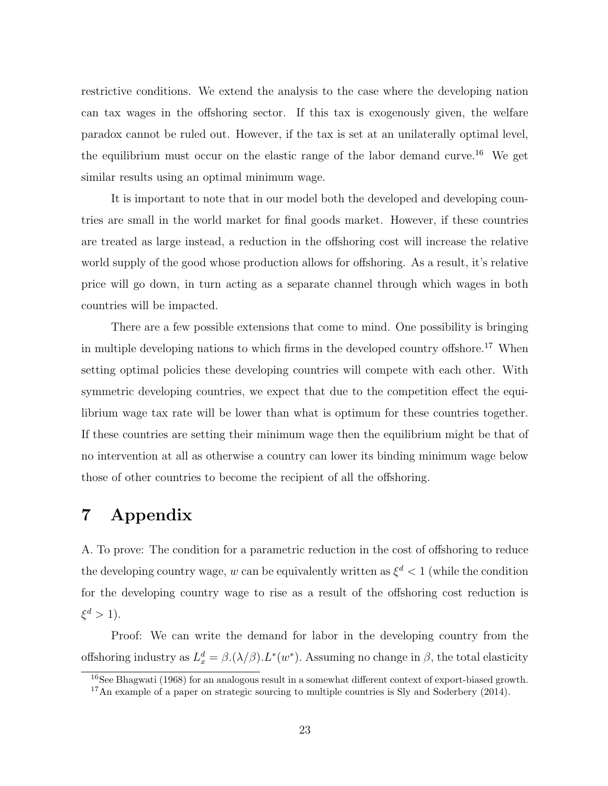restrictive conditions. We extend the analysis to the case where the developing nation can tax wages in the offshoring sector. If this tax is exogenously given, the welfare paradox cannot be ruled out. However, if the tax is set at an unilaterally optimal level, the equilibrium must occur on the elastic range of the labor demand curve.<sup>16</sup> We get similar results using an optimal minimum wage.

It is important to note that in our model both the developed and developing countries are small in the world market for final goods market. However, if these countries are treated as large instead, a reduction in the offshoring cost will increase the relative world supply of the good whose production allows for offshoring. As a result, it's relative price will go down, in turn acting as a separate channel through which wages in both countries will be impacted.

There are a few possible extensions that come to mind. One possibility is bringing in multiple developing nations to which firms in the developed country offshore.<sup>17</sup> When setting optimal policies these developing countries will compete with each other. With symmetric developing countries, we expect that due to the competition effect the equilibrium wage tax rate will be lower than what is optimum for these countries together. If these countries are setting their minimum wage then the equilibrium might be that of no intervention at all as otherwise a country can lower its binding minimum wage below those of other countries to become the recipient of all the offshoring.

## 7 Appendix

A. To prove: The condition for a parametric reduction in the cost of offshoring to reduce the developing country wage, w can be equivalently written as  $\xi^d < 1$  (while the condition for the developing country wage to rise as a result of the offshoring cost reduction is  $\xi^d > 1$ ).

Proof: We can write the demand for labor in the developing country from the offshoring industry as  $L_x^d = \beta.(\lambda/\beta).L^*(w^*)$ . Assuming no change in  $\beta$ , the total elasticity

<sup>16</sup>See Bhagwati (1968) for an analogous result in a somewhat different context of export-biased growth.

 $17$ An example of a paper on strategic sourcing to multiple countries is Sly and Soderbery (2014).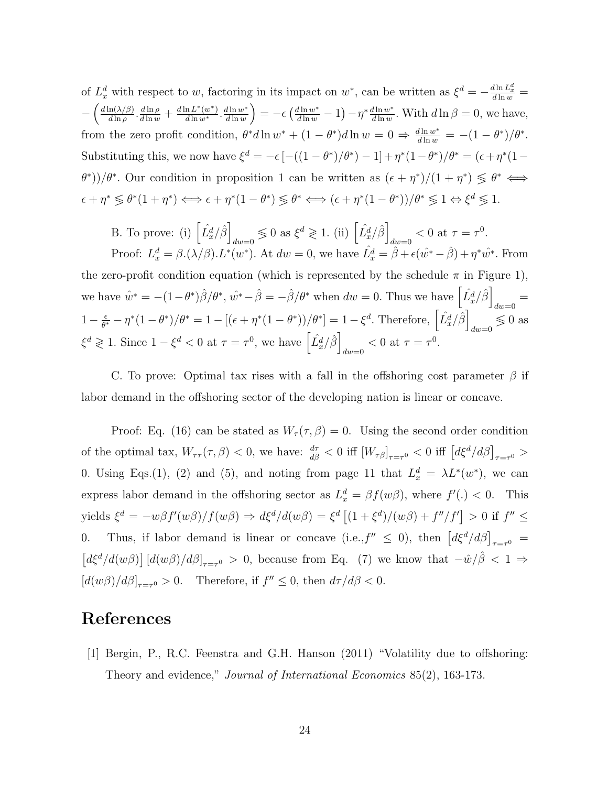of  $L_x^d$  with respect to w, factoring in its impact on w<sup>\*</sup>, can be written as  $\xi^d = -\frac{d \ln L_x^d}{d \ln w}$  $-\left(\frac{d\ln(\lambda/\beta)}{d\ln a}\right)$  $\frac{\ln(\lambda/\beta)}{d\ln\rho}\cdot\frac{d\ln\rho}{d\ln w}+\frac{d\ln L^*(w^*)}{d\ln w^*}\cdot\frac{d\ln w^*}{d\ln w}$  $\left(\frac{d\ln w^*}{d\ln w}\right) = -\epsilon \left(\frac{d\ln w^*}{d\ln w} - 1\right) - \eta^* \frac{d\ln w^*}{d\ln w}$  $\frac{d \ln w^*}{d \ln w}$ . With  $d \ln \beta = 0$ , we have, from the zero profit condition,  $\theta^* d \ln w^* + (1 - \theta^*) d \ln w = 0 \Rightarrow \frac{d \ln w^*}{d \ln w} = -(1 - \theta^*)/\theta^*$ . Substituting this, we now have  $\xi^d = -\epsilon \left[ -((1-\theta^*)/\theta^*) - 1 \right] + \eta^*(1-\theta^*)/\theta^* = (\epsilon + \eta^*(1-\theta^*))$  $(\theta^*)/\theta^*$ . Our condition in proposition 1 can be written as  $(\epsilon + \eta^*)/(1 + \eta^*) \leq \theta^* \iff$  $\epsilon + \eta^* \leq \theta^*(1 + \eta^*) \Longleftrightarrow \epsilon + \eta^*(1 - \theta^*) \leq \theta^* \Longleftrightarrow (\epsilon + \eta^*(1 - \theta^*))/\theta^* \leq 1 \Leftrightarrow \xi^d \leq 1.$ 

B. To prove: (i)  $\left[ \hat{L}_x^d / \hat{\beta} \right]$  $d_{dw=0} \leqslant 0$  as  $\xi^d \geqslant 1$ . (ii)  $\left[ \hat{L}_x^d / \hat{\beta} \right]$  $_{dw=0}$  < 0 at  $\tau = \tau^0$ . Proof:  $L_x^d = \beta.(\lambda/\beta).L^*(w^*)$ . At  $dw = 0$ , we have  $\hat{L}_x^d = \hat{\beta} + \epsilon(\hat{w^*} - \hat{\beta}) + \eta^*\hat{w^*}$ . From the zero-profit condition equation (which is represented by the schedule  $\pi$  in Figure 1),

we have  $\hat{w}^* = -(1-\theta^*)\hat{\beta}/\theta^*, \hat{w}^* - \hat{\beta} = -\hat{\beta}/\theta^*$  when  $dw = 0$ . Thus we have  $\left[\hat{L}_x^d/\hat{\beta}\right]$  $\frac{1}{\frac{dw}{0}} =$  $1-\frac{\epsilon}{\theta}$  $\frac{\epsilon}{\theta^*} - \eta^*(1-\theta^*)/\theta^* = 1 - [(\epsilon + \eta^*(1-\theta^*))/\theta^*] = 1 - \xi^d$ . Therefore,  $\left[\hat{L}_x^d/\hat{\beta}\right]$  $_{dw=0} \lessgtr 0$  as  $\xi^d \geq 1$ . Since  $1 - \xi^d < 0$  at  $\tau = \tau^0$ , we have  $\left[ \hat{L}_x^d / \hat{\beta} \right]$  $_{dw=0}$  < 0 at  $\tau = \tau^0$ .

C. To prove: Optimal tax rises with a fall in the offshoring cost parameter  $\beta$  if labor demand in the offshoring sector of the developing nation is linear or concave.

Proof: Eq. (16) can be stated as  $W_{\tau}(\tau,\beta) = 0$ . Using the second order condition of the optimal tax,  $W_{\tau\tau}(\tau,\beta) < 0$ , we have:  $\frac{d\tau}{d\beta} < 0$  iff  $[W_{\tau\beta}]_{\tau=\tau^0} < 0$  iff  $\left[d\xi^d/d\beta\right]_{\tau=\tau^0} >$ 0. Using Eqs.(1), (2) and (5), and noting from page 11 that  $L_x^d = \lambda L^*(w^*)$ , we can express labor demand in the offshoring sector as  $L_x^d = \beta f(w\beta)$ , where  $f'(.) < 0$ . This yields  $\xi^d = -w\beta f'(w\beta)/f(w\beta) \Rightarrow d\xi^d/d(w\beta) = \xi^d \left[ (1+\xi^d)/(w\beta) + f''/f' \right] > 0$  if  $f'' \leq$ 0. Thus, if labor demand is linear or concave (i.e.,  $f'' \leq 0$ ), then  $\left[d\xi^d/d\beta\right]_{\tau=\tau^0}$  =  $\left[d\xi^d/d(w\beta)\right] [d(w\beta)/d\beta]_{\tau=\tau^0} > 0$ , because from Eq. (7) we know that  $-\hat{w}/\hat{\beta} < 1 \Rightarrow$  $\left[d(w\beta)/d\beta\right]_{\tau=\tau^0} > 0.$  Therefore, if  $f'' \leq 0$ , then  $d\tau/d\beta < 0.$ 

#### References

[1] Bergin, P., R.C. Feenstra and G.H. Hanson (2011) "Volatility due to offshoring: Theory and evidence," Journal of International Economics 85(2), 163-173.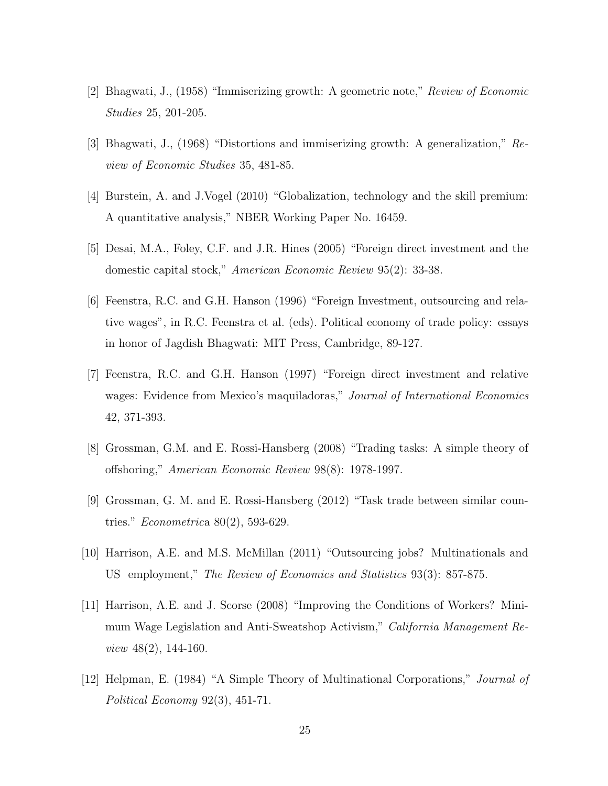- [2] Bhagwati, J., (1958) "Immiserizing growth: A geometric note," Review of Economic Studies 25, 201-205.
- [3] Bhagwati, J., (1968) "Distortions and immiserizing growth: A generalization," Review of Economic Studies 35, 481-85.
- [4] Burstein, A. and J.Vogel (2010) "Globalization, technology and the skill premium: A quantitative analysis," NBER Working Paper No. 16459.
- [5] Desai, M.A., Foley, C.F. and J.R. Hines (2005) "Foreign direct investment and the domestic capital stock," American Economic Review 95(2): 33-38.
- [6] Feenstra, R.C. and G.H. Hanson (1996) "Foreign Investment, outsourcing and relative wages", in R.C. Feenstra et al. (eds). Political economy of trade policy: essays in honor of Jagdish Bhagwati: MIT Press, Cambridge, 89-127.
- [7] Feenstra, R.C. and G.H. Hanson (1997) "Foreign direct investment and relative wages: Evidence from Mexico's maquiladoras," Journal of International Economics 42, 371-393.
- [8] Grossman, G.M. and E. Rossi-Hansberg (2008) "Trading tasks: A simple theory of offshoring," American Economic Review 98(8): 1978-1997.
- [9] Grossman, G. M. and E. Rossi-Hansberg (2012) "Task trade between similar countries." Econometrica 80(2), 593-629.
- [10] Harrison, A.E. and M.S. McMillan (2011) "Outsourcing jobs? Multinationals and US employment," The Review of Economics and Statistics 93(3): 857-875.
- [11] Harrison, A.E. and J. Scorse (2008) "Improving the Conditions of Workers? Minimum Wage Legislation and Anti-Sweatshop Activism," California Management Re*view* 48(2), 144-160.
- [12] Helpman, E. (1984) "A Simple Theory of Multinational Corporations," Journal of Political Economy 92(3), 451-71.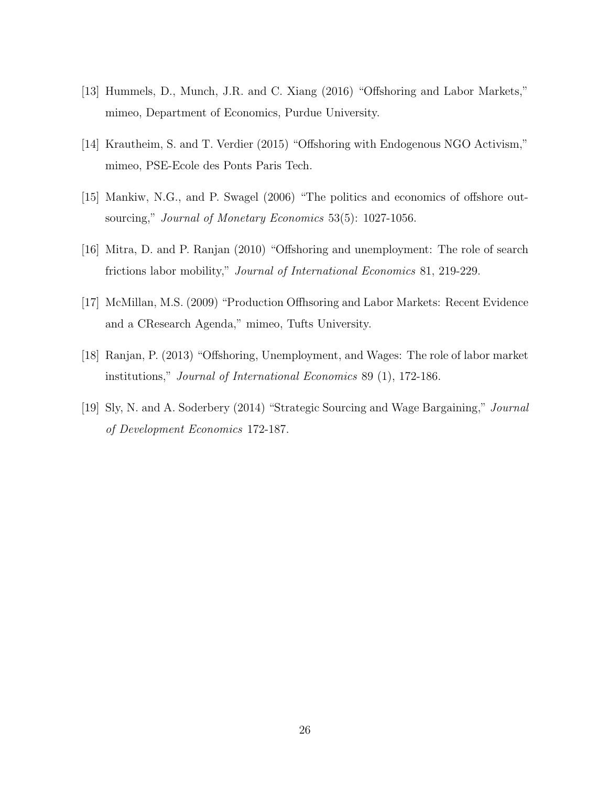- [13] Hummels, D., Munch, J.R. and C. Xiang (2016) "Offshoring and Labor Markets," mimeo, Department of Economics, Purdue University.
- [14] Krautheim, S. and T. Verdier (2015) "Offshoring with Endogenous NGO Activism," mimeo, PSE-Ecole des Ponts Paris Tech.
- [15] Mankiw, N.G., and P. Swagel (2006) "The politics and economics of offshore outsourcing," Journal of Monetary Economics 53(5): 1027-1056.
- [16] Mitra, D. and P. Ranjan (2010) "Offshoring and unemployment: The role of search frictions labor mobility," Journal of International Economics 81, 219-229.
- [17] McMillan, M.S. (2009) "Production Offhsoring and Labor Markets: Recent Evidence and a CResearch Agenda," mimeo, Tufts University.
- [18] Ranjan, P. (2013) "Offshoring, Unemployment, and Wages: The role of labor market institutions," Journal of International Economics 89 (1), 172-186.
- [19] Sly, N. and A. Soderbery (2014) "Strategic Sourcing and Wage Bargaining," Journal of Development Economics 172-187.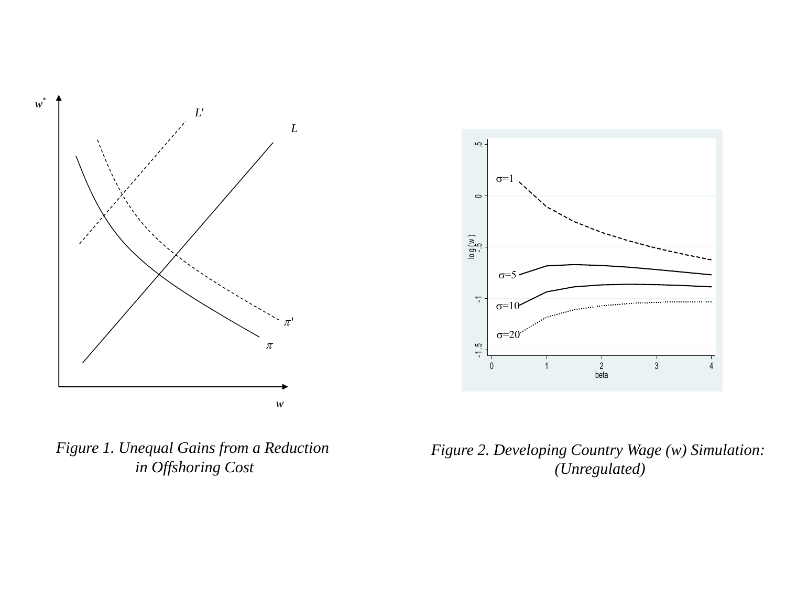



*Figure 1. Unequal Gains from a Reduction in Offshoring Cost*

*Figure 2. Developing Country Wage (w) Simulation: (Unregulated)*